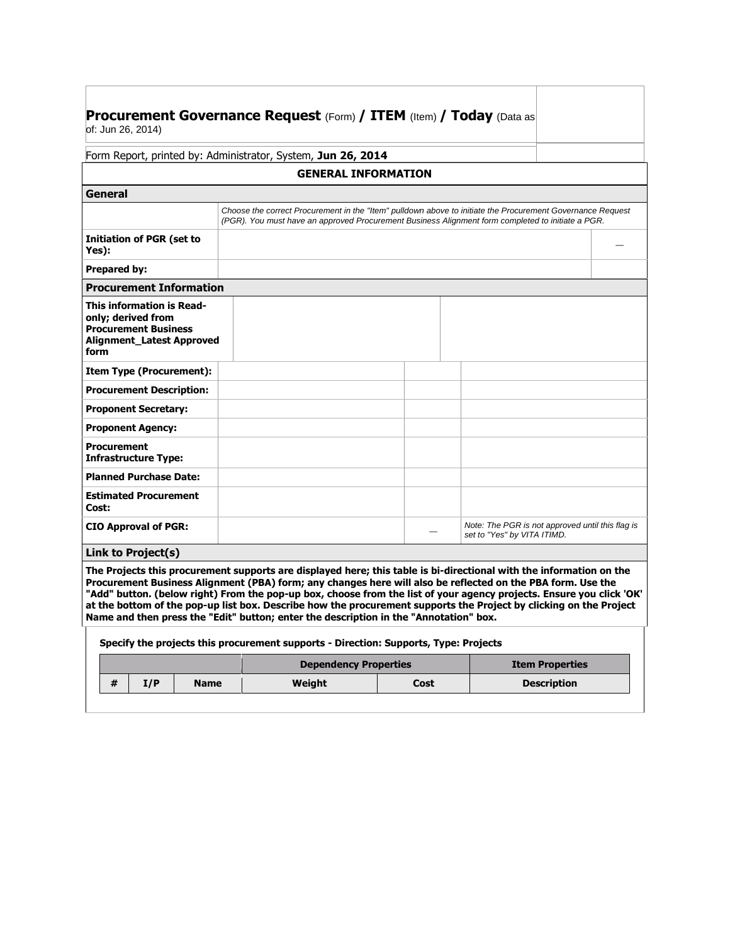| <b>Procurement Governance Request (Form) / ITEM (Item) / Today (Data as</b> |  |
|-----------------------------------------------------------------------------|--|
| of: Jun 26, 2014)                                                           |  |

Form Report, printed by: Administrator, System, **Jun 26, 2014**

| <b>GENERAL INFORMATION</b>                                                                                                        |                                                                                                                                                                                                                 |  |                                                                                 |  |  |  |
|-----------------------------------------------------------------------------------------------------------------------------------|-----------------------------------------------------------------------------------------------------------------------------------------------------------------------------------------------------------------|--|---------------------------------------------------------------------------------|--|--|--|
| General                                                                                                                           |                                                                                                                                                                                                                 |  |                                                                                 |  |  |  |
|                                                                                                                                   | Choose the correct Procurement in the "Item" pulldown above to initiate the Procurement Governance Request<br>(PGR). You must have an approved Procurement Business Alignment form completed to initiate a PGR. |  |                                                                                 |  |  |  |
| <b>Initiation of PGR (set to</b><br>Yes):                                                                                         |                                                                                                                                                                                                                 |  |                                                                                 |  |  |  |
| <b>Prepared by:</b>                                                                                                               |                                                                                                                                                                                                                 |  |                                                                                 |  |  |  |
| <b>Procurement Information</b>                                                                                                    |                                                                                                                                                                                                                 |  |                                                                                 |  |  |  |
| <b>This information is Read-</b><br>only; derived from<br><b>Procurement Business</b><br><b>Alignment Latest Approved</b><br>form |                                                                                                                                                                                                                 |  |                                                                                 |  |  |  |
| <b>Item Type (Procurement):</b>                                                                                                   |                                                                                                                                                                                                                 |  |                                                                                 |  |  |  |
| <b>Procurement Description:</b>                                                                                                   |                                                                                                                                                                                                                 |  |                                                                                 |  |  |  |
| <b>Proponent Secretary:</b>                                                                                                       |                                                                                                                                                                                                                 |  |                                                                                 |  |  |  |
| <b>Proponent Agency:</b>                                                                                                          |                                                                                                                                                                                                                 |  |                                                                                 |  |  |  |
| Procurement<br><b>Infrastructure Type:</b>                                                                                        |                                                                                                                                                                                                                 |  |                                                                                 |  |  |  |
| <b>Planned Purchase Date:</b>                                                                                                     |                                                                                                                                                                                                                 |  |                                                                                 |  |  |  |
| <b>Estimated Procurement</b><br>Cost:                                                                                             |                                                                                                                                                                                                                 |  |                                                                                 |  |  |  |
| <b>CIO Approval of PGR:</b>                                                                                                       |                                                                                                                                                                                                                 |  | Note: The PGR is not approved until this flag is<br>set to "Yes" by VITA ITIMD. |  |  |  |
| .<br>.                                                                                                                            |                                                                                                                                                                                                                 |  |                                                                                 |  |  |  |

**Link to Project(s)** 

**The Projects this procurement supports are displayed here; this table is bi-directional with the information on the Procurement Business Alignment (PBA) form; any changes here will also be reflected on the PBA form. Use the "Add" button. (below right) From the pop-up box, choose from the list of your agency projects. Ensure you click 'OK' at the bottom of the pop-up list box. Describe how the procurement supports the Project by clicking on the Project Name and then press the "Edit" button; enter the description in the "Annotation" box.**

| Specify the projects this procurement supports - Direction: Supports, Type: Projects |     |             |                              |                        |                    |
|--------------------------------------------------------------------------------------|-----|-------------|------------------------------|------------------------|--------------------|
|                                                                                      |     |             | <b>Dependency Properties</b> | <b>Item Properties</b> |                    |
|                                                                                      | I/P | <b>Name</b> | Weight                       | Cost                   | <b>Description</b> |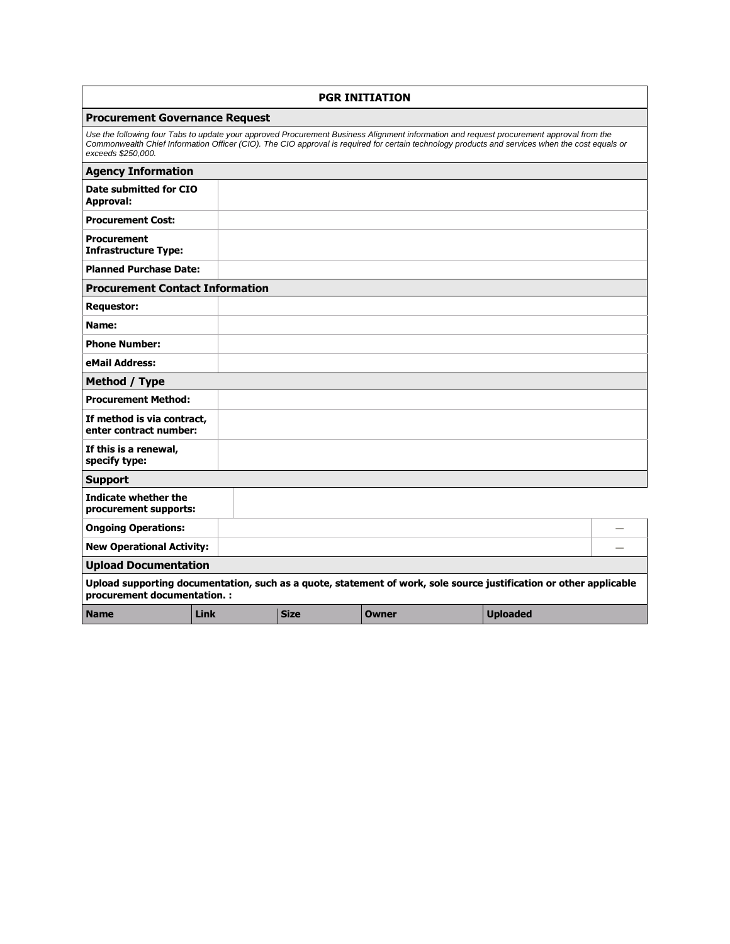| <b>PGR INITIATION</b>                                                                                                                              |      |             |                                                                                                                                                                                                                                                                                             |                 |  |
|----------------------------------------------------------------------------------------------------------------------------------------------------|------|-------------|---------------------------------------------------------------------------------------------------------------------------------------------------------------------------------------------------------------------------------------------------------------------------------------------|-----------------|--|
| <b>Procurement Governance Request</b>                                                                                                              |      |             |                                                                                                                                                                                                                                                                                             |                 |  |
| exceeds \$250,000.                                                                                                                                 |      |             | Use the following four Tabs to update your approved Procurement Business Alignment information and request procurement approval from the<br>Commonwealth Chief Information Officer (CIO). The CIO approval is required for certain technology products and services when the cost equals or |                 |  |
| <b>Agency Information</b>                                                                                                                          |      |             |                                                                                                                                                                                                                                                                                             |                 |  |
| Date submitted for CIO<br>Approval:                                                                                                                |      |             |                                                                                                                                                                                                                                                                                             |                 |  |
| <b>Procurement Cost:</b>                                                                                                                           |      |             |                                                                                                                                                                                                                                                                                             |                 |  |
| <b>Procurement</b><br><b>Infrastructure Type:</b>                                                                                                  |      |             |                                                                                                                                                                                                                                                                                             |                 |  |
| <b>Planned Purchase Date:</b>                                                                                                                      |      |             |                                                                                                                                                                                                                                                                                             |                 |  |
| <b>Procurement Contact Information</b>                                                                                                             |      |             |                                                                                                                                                                                                                                                                                             |                 |  |
| <b>Requestor:</b>                                                                                                                                  |      |             |                                                                                                                                                                                                                                                                                             |                 |  |
| Name:                                                                                                                                              |      |             |                                                                                                                                                                                                                                                                                             |                 |  |
| <b>Phone Number:</b>                                                                                                                               |      |             |                                                                                                                                                                                                                                                                                             |                 |  |
| eMail Address:                                                                                                                                     |      |             |                                                                                                                                                                                                                                                                                             |                 |  |
| Method / Type                                                                                                                                      |      |             |                                                                                                                                                                                                                                                                                             |                 |  |
| <b>Procurement Method:</b>                                                                                                                         |      |             |                                                                                                                                                                                                                                                                                             |                 |  |
| If method is via contract,<br>enter contract number:                                                                                               |      |             |                                                                                                                                                                                                                                                                                             |                 |  |
| If this is a renewal,<br>specify type:                                                                                                             |      |             |                                                                                                                                                                                                                                                                                             |                 |  |
| <b>Support</b>                                                                                                                                     |      |             |                                                                                                                                                                                                                                                                                             |                 |  |
| Indicate whether the<br>procurement supports:                                                                                                      |      |             |                                                                                                                                                                                                                                                                                             |                 |  |
| <b>Ongoing Operations:</b>                                                                                                                         |      |             |                                                                                                                                                                                                                                                                                             |                 |  |
| <b>New Operational Activity:</b>                                                                                                                   |      |             |                                                                                                                                                                                                                                                                                             |                 |  |
| <b>Upload Documentation</b>                                                                                                                        |      |             |                                                                                                                                                                                                                                                                                             |                 |  |
| Upload supporting documentation, such as a quote, statement of work, sole source justification or other applicable<br>procurement documentation. : |      |             |                                                                                                                                                                                                                                                                                             |                 |  |
| <b>Name</b>                                                                                                                                        | Link | <b>Size</b> | Owner                                                                                                                                                                                                                                                                                       | <b>Uploaded</b> |  |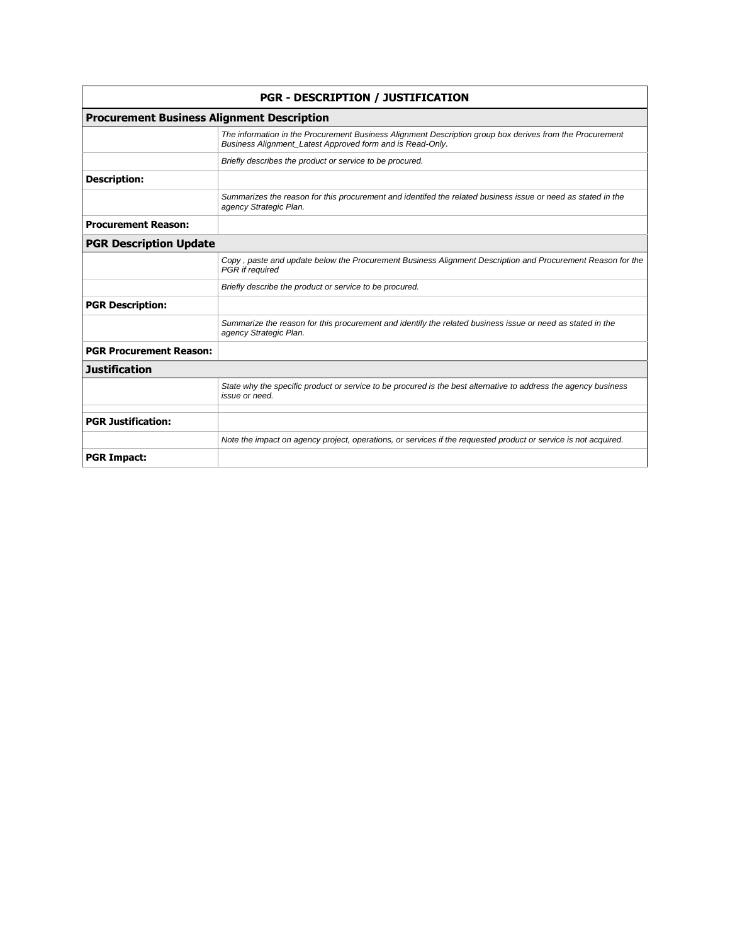| <b>PGR - DESCRIPTION / JUSTIFICATION</b>          |                                                                                                                                                                       |  |  |  |  |
|---------------------------------------------------|-----------------------------------------------------------------------------------------------------------------------------------------------------------------------|--|--|--|--|
| <b>Procurement Business Alignment Description</b> |                                                                                                                                                                       |  |  |  |  |
|                                                   | The information in the Procurement Business Alignment Description group box derives from the Procurement<br>Business Alignment_Latest Approved form and is Read-Only. |  |  |  |  |
|                                                   | Briefly describes the product or service to be procured.                                                                                                              |  |  |  |  |
| <b>Description:</b>                               |                                                                                                                                                                       |  |  |  |  |
|                                                   | Summarizes the reason for this procurement and identifed the related business issue or need as stated in the<br>agency Strategic Plan.                                |  |  |  |  |
| <b>Procurement Reason:</b>                        |                                                                                                                                                                       |  |  |  |  |
| <b>PGR Description Update</b>                     |                                                                                                                                                                       |  |  |  |  |
|                                                   | Copy, paste and update below the Procurement Business Alignment Description and Procurement Reason for the<br>PGR if required                                         |  |  |  |  |
|                                                   | Briefly describe the product or service to be procured.                                                                                                               |  |  |  |  |
| <b>PGR Description:</b>                           |                                                                                                                                                                       |  |  |  |  |
|                                                   | Summarize the reason for this procurement and identify the related business issue or need as stated in the<br>agency Strategic Plan.                                  |  |  |  |  |
| <b>PGR Procurement Reason:</b>                    |                                                                                                                                                                       |  |  |  |  |
| <b>Justification</b>                              |                                                                                                                                                                       |  |  |  |  |
|                                                   | State why the specific product or service to be procured is the best alternative to address the agency business<br>issue or need.                                     |  |  |  |  |
| <b>PGR Justification:</b>                         |                                                                                                                                                                       |  |  |  |  |
|                                                   | Note the impact on agency project, operations, or services if the requested product or service is not acquired.                                                       |  |  |  |  |
| <b>PGR Impact:</b>                                |                                                                                                                                                                       |  |  |  |  |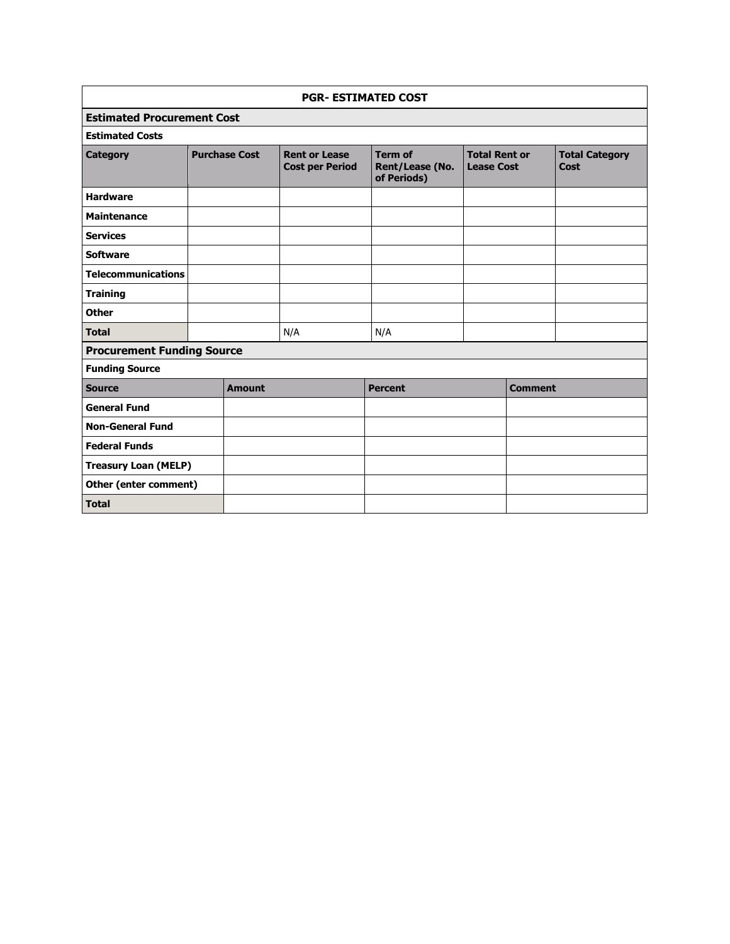| <b>PGR- ESTIMATED COST</b>        |  |                      |                                                |                                                  |                                           |                |                               |
|-----------------------------------|--|----------------------|------------------------------------------------|--------------------------------------------------|-------------------------------------------|----------------|-------------------------------|
| <b>Estimated Procurement Cost</b> |  |                      |                                                |                                                  |                                           |                |                               |
| <b>Estimated Costs</b>            |  |                      |                                                |                                                  |                                           |                |                               |
| <b>Category</b>                   |  | <b>Purchase Cost</b> | <b>Rent or Lease</b><br><b>Cost per Period</b> | <b>Term of</b><br>Rent/Lease (No.<br>of Periods) | <b>Total Rent or</b><br><b>Lease Cost</b> |                | <b>Total Category</b><br>Cost |
| <b>Hardware</b>                   |  |                      |                                                |                                                  |                                           |                |                               |
| <b>Maintenance</b>                |  |                      |                                                |                                                  |                                           |                |                               |
| <b>Services</b>                   |  |                      |                                                |                                                  |                                           |                |                               |
| <b>Software</b>                   |  |                      |                                                |                                                  |                                           |                |                               |
| <b>Telecommunications</b>         |  |                      |                                                |                                                  |                                           |                |                               |
| <b>Training</b>                   |  |                      |                                                |                                                  |                                           |                |                               |
| <b>Other</b>                      |  |                      |                                                |                                                  |                                           |                |                               |
| <b>Total</b>                      |  |                      | N/A                                            | N/A                                              |                                           |                |                               |
| <b>Procurement Funding Source</b> |  |                      |                                                |                                                  |                                           |                |                               |
| <b>Funding Source</b>             |  |                      |                                                |                                                  |                                           |                |                               |
| <b>Source</b>                     |  | <b>Amount</b>        |                                                | <b>Percent</b>                                   |                                           | <b>Comment</b> |                               |
| <b>General Fund</b>               |  |                      |                                                |                                                  |                                           |                |                               |
| <b>Non-General Fund</b>           |  |                      |                                                |                                                  |                                           |                |                               |
| <b>Federal Funds</b>              |  |                      |                                                |                                                  |                                           |                |                               |
| <b>Treasury Loan (MELP)</b>       |  |                      |                                                |                                                  |                                           |                |                               |
| Other (enter comment)             |  |                      |                                                |                                                  |                                           |                |                               |
| <b>Total</b>                      |  |                      |                                                |                                                  |                                           |                |                               |